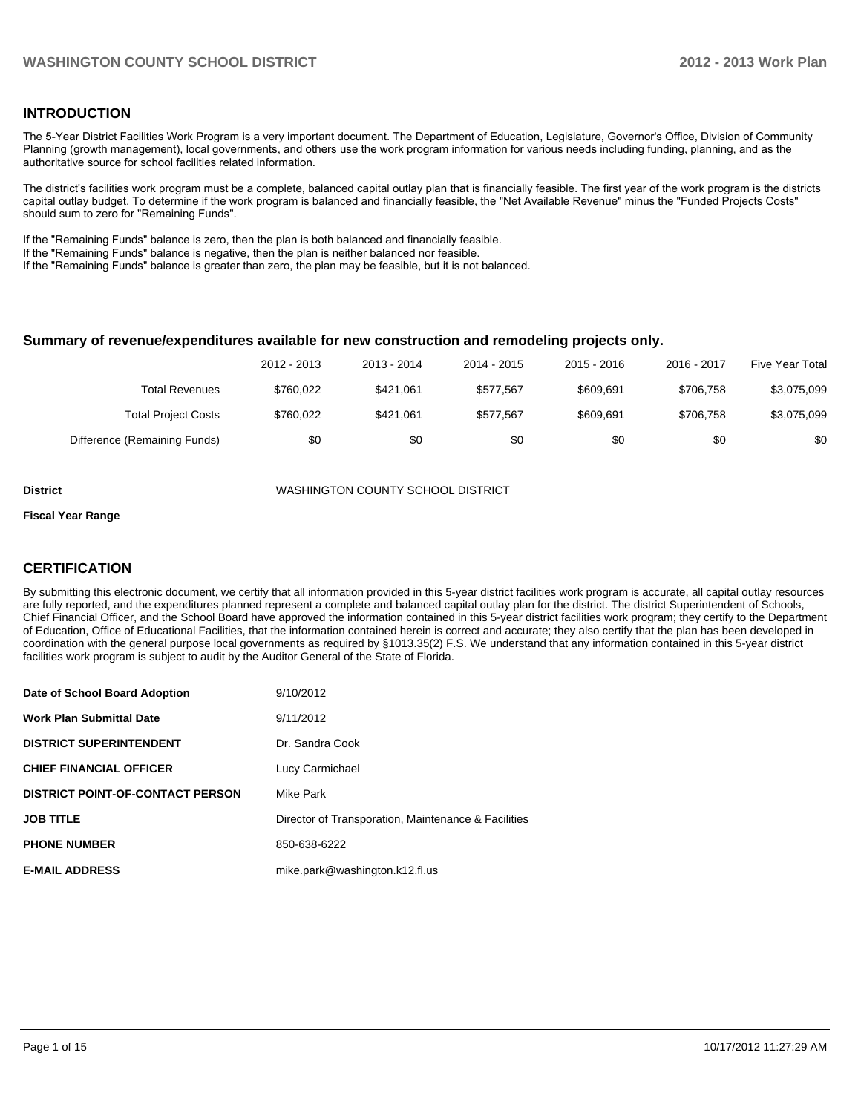### **INTRODUCTION**

The 5-Year District Facilities Work Program is a very important document. The Department of Education, Legislature, Governor's Office, Division of Community Planning (growth management), local governments, and others use the work program information for various needs including funding, planning, and as the authoritative source for school facilities related information.

The district's facilities work program must be a complete, balanced capital outlay plan that is financially feasible. The first year of the work program is the districts capital outlay budget. To determine if the work program is balanced and financially feasible, the "Net Available Revenue" minus the "Funded Projects Costs" should sum to zero for "Remaining Funds".

If the "Remaining Funds" balance is zero, then the plan is both balanced and financially feasible.

If the "Remaining Funds" balance is negative, then the plan is neither balanced nor feasible.

If the "Remaining Funds" balance is greater than zero, the plan may be feasible, but it is not balanced.

#### **Summary of revenue/expenditures available for new construction and remodeling projects only.**

|                              | 2012 - 2013 | 2013 - 2014 | 2014 - 2015 | $2015 - 2016$ | 2016 - 2017 | Five Year Total |
|------------------------------|-------------|-------------|-------------|---------------|-------------|-----------------|
| Total Revenues               | \$760.022   | \$421.061   | \$577.567   | \$609.691     | \$706.758   | \$3,075,099     |
| <b>Total Project Costs</b>   | \$760,022   | \$421.061   | \$577.567   | \$609.691     | \$706.758   | \$3,075,099     |
| Difference (Remaining Funds) | \$0         | \$0         | \$0         | \$0           | \$0         | \$0             |

**District** WASHINGTON COUNTY SCHOOL DISTRICT

#### **Fiscal Year Range**

### **CERTIFICATION**

By submitting this electronic document, we certify that all information provided in this 5-year district facilities work program is accurate, all capital outlay resources are fully reported, and the expenditures planned represent a complete and balanced capital outlay plan for the district. The district Superintendent of Schools, Chief Financial Officer, and the School Board have approved the information contained in this 5-year district facilities work program; they certify to the Department of Education, Office of Educational Facilities, that the information contained herein is correct and accurate; they also certify that the plan has been developed in coordination with the general purpose local governments as required by §1013.35(2) F.S. We understand that any information contained in this 5-year district facilities work program is subject to audit by the Auditor General of the State of Florida.

| Date of School Board Adoption           | 9/10/2012                                           |
|-----------------------------------------|-----------------------------------------------------|
| <b>Work Plan Submittal Date</b>         | 9/11/2012                                           |
| <b>DISTRICT SUPERINTENDENT</b>          | Dr. Sandra Cook                                     |
| <b>CHIEF FINANCIAL OFFICER</b>          | Lucy Carmichael                                     |
| <b>DISTRICT POINT-OF-CONTACT PERSON</b> | Mike Park                                           |
| <b>JOB TITLE</b>                        | Director of Transporation, Maintenance & Facilities |
| <b>PHONE NUMBER</b>                     | 850-638-6222                                        |
| <b>E-MAIL ADDRESS</b>                   | mike.park@washington.k12.fl.us                      |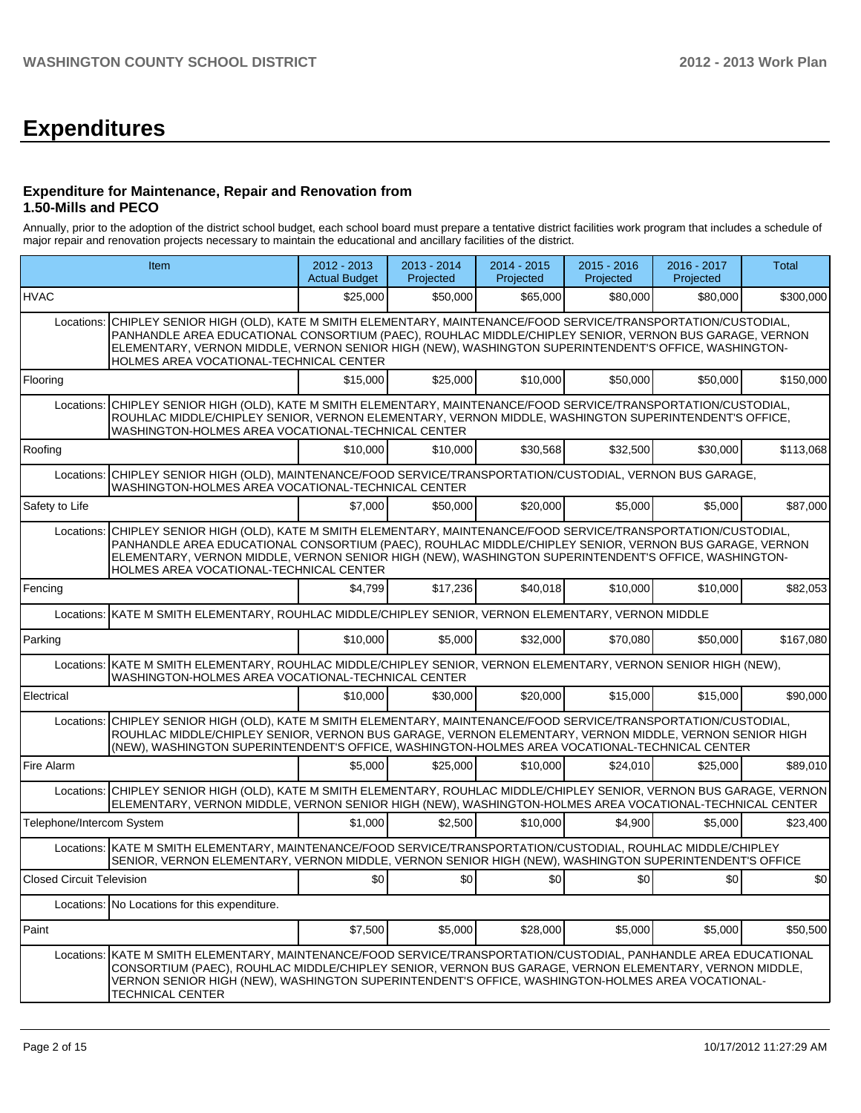# **Expenditures**

#### **Expenditure for Maintenance, Repair and Renovation from 1.50-Mills and PECO**

Annually, prior to the adoption of the district school budget, each school board must prepare a tentative district facilities work program that includes a schedule of major repair and renovation projects necessary to maintain the educational and ancillary facilities of the district.

|                                  | Item                                                                                                                                                                                                                                                                                                                                                                |          | 2013 - 2014<br>Projected | 2014 - 2015<br>Projected | $2015 - 2016$<br>Projected | 2016 - 2017<br>Projected | Total     |
|----------------------------------|---------------------------------------------------------------------------------------------------------------------------------------------------------------------------------------------------------------------------------------------------------------------------------------------------------------------------------------------------------------------|----------|--------------------------|--------------------------|----------------------------|--------------------------|-----------|
| <b>HVAC</b>                      |                                                                                                                                                                                                                                                                                                                                                                     | \$25,000 | \$50,000                 | \$65,000                 | \$80,000                   | \$80,000                 | \$300,000 |
| Locations:                       | CHIPLEY SENIOR HIGH (OLD), KATE M SMITH ELEMENTARY, MAINTENANCE/FOOD SERVICE/TRANSPORTATION/CUSTODIAL,<br>PANHANDLE AREA EDUCATIONAL CONSORTIUM (PAEC), ROUHLAC MIDDLE/CHIPLEY SENIOR, VERNON BUS GARAGE, VERNON<br>ELEMENTARY, VERNON MIDDLE, VERNON SENIOR HIGH (NEW), WASHINGTON SUPERINTENDENT'S OFFICE, WASHINGTON-<br>HOLMES AREA VOCATIONAL-TECHNICAL CENTER |          |                          |                          |                            |                          |           |
| Flooring                         |                                                                                                                                                                                                                                                                                                                                                                     | \$15,000 | \$25,000                 | \$10,000                 | \$50,000                   | \$50,000                 | \$150,000 |
| Locations:                       | CHIPLEY SENIOR HIGH (OLD), KATE M SMITH ELEMENTARY, MAINTENANCE/FOOD SERVICE/TRANSPORTATION/CUSTODIAL,<br>ROUHLAC MIDDLE/CHIPLEY SENIOR, VERNON ELEMENTARY, VERNON MIDDLE, WASHINGTON SUPERINTENDENT'S OFFICE,<br>WASHINGTON-HOLMES AREA VOCATIONAL-TECHNICAL CENTER                                                                                                |          |                          |                          |                            |                          |           |
| Roofing                          |                                                                                                                                                                                                                                                                                                                                                                     | \$10,000 | \$10,000                 | \$30,568                 | \$32,500                   | \$30,000                 | \$113,068 |
| Locations:                       | CHIPLEY SENIOR HIGH (OLD), MAINTENANCE/FOOD SERVICE/TRANSPORTATION/CUSTODIAL, VERNON BUS GARAGE,<br>WASHINGTON-HOLMES AREA VOCATIONAL-TECHNICAL CENTER                                                                                                                                                                                                              |          |                          |                          |                            |                          |           |
| Safety to Life                   |                                                                                                                                                                                                                                                                                                                                                                     | \$7,000  | \$50,000                 | \$20,000                 | \$5,000                    | \$5,000                  | \$87,000  |
| Locations:                       | CHIPLEY SENIOR HIGH (OLD), KATE M SMITH ELEMENTARY, MAINTENANCE/FOOD SERVICE/TRANSPORTATION/CUSTODIAL,<br>PANHANDLE AREA EDUCATIONAL CONSORTIUM (PAEC), ROUHLAC MIDDLE/CHIPLEY SENIOR, VERNON BUS GARAGE, VERNON<br>ELEMENTARY, VERNON MIDDLE, VERNON SENIOR HIGH (NEW), WASHINGTON SUPERINTENDENT'S OFFICE, WASHINGTON-<br>HOLMES AREA VOCATIONAL-TECHNICAL CENTER |          |                          |                          |                            |                          |           |
| Fencing                          |                                                                                                                                                                                                                                                                                                                                                                     | \$4.799  | \$17,236                 | \$40,018                 | \$10,000                   | \$10,000                 | \$82,053  |
|                                  | Locations: KATE M SMITH ELEMENTARY, ROUHLAC MIDDLE/CHIPLEY SENIOR, VERNON ELEMENTARY, VERNON MIDDLE                                                                                                                                                                                                                                                                 |          |                          |                          |                            |                          |           |
| Parking                          |                                                                                                                                                                                                                                                                                                                                                                     | \$10,000 | \$5,000                  | \$32,000                 | \$70,080                   | \$50,000                 | \$167,080 |
|                                  | Locations: KATE M SMITH ELEMENTARY, ROUHLAC MIDDLE/CHIPLEY SENIOR, VERNON ELEMENTARY, VERNON SENIOR HIGH (NEW),<br>WASHINGTON-HOLMES AREA VOCATIONAL-TECHNICAL CENTER                                                                                                                                                                                               |          |                          |                          |                            |                          |           |
| Electrical                       |                                                                                                                                                                                                                                                                                                                                                                     | \$10,000 | \$30,000                 | \$20,000                 | \$15,000                   | \$15,000                 | \$90,000  |
| Locations:                       | CHIPLEY SENIOR HIGH (OLD), KATE M SMITH ELEMENTARY, MAINTENANCE/FOOD SERVICE/TRANSPORTATION/CUSTODIAL,<br>ROUHLAC MIDDLE/CHIPLEY SENIOR, VERNON BUS GARAGE, VERNON ELEMENTARY, VERNON MIDDLE, VERNON SENIOR HIGH<br>(NEW), WASHINGTON SUPERINTENDENT'S OFFICE, WASHINGTON-HOLMES AREA VOCATIONAL-TECHNICAL CENTER                                                   |          |                          |                          |                            |                          |           |
| Fire Alarm                       |                                                                                                                                                                                                                                                                                                                                                                     | \$5,000  | \$25,000                 | \$10,000                 | \$24,010                   | \$25,000                 | \$89,010  |
| Locations:                       | CHIPLEY SENIOR HIGH (OLD), KATE M SMITH ELEMENTARY, ROUHLAC MIDDLE/CHIPLEY SENIOR, VERNON BUS GARAGE, VERNON<br>ELEMENTARY, VERNON MIDDLE, VERNON SENIOR HIGH (NEW), WASHINGTON-HOLMES AREA VOCATIONAL-TECHNICAL CENTER                                                                                                                                             |          |                          |                          |                            |                          |           |
| Telephone/Intercom System        |                                                                                                                                                                                                                                                                                                                                                                     | \$1,000  | \$2,500                  | \$10,000                 | \$4,900                    | \$5,000                  | \$23,400  |
|                                  | Locations: KATE M SMITH ELEMENTARY, MAINTENANCE/FOOD SERVICE/TRANSPORTATION/CUSTODIAL, ROUHLAC MIDDLE/CHIPLEY<br>SENIOR, VERNON ELEMENTARY, VERNON MIDDLE, VERNON SENIOR HIGH (NEW), WASHINGTON SUPERINTENDENT'S OFFICE                                                                                                                                             |          |                          |                          |                            |                          |           |
| <b>Closed Circuit Television</b> |                                                                                                                                                                                                                                                                                                                                                                     | \$0      | \$0                      | \$0                      | \$0                        | \$0                      | \$0       |
|                                  | Locations: No Locations for this expenditure.                                                                                                                                                                                                                                                                                                                       |          |                          |                          |                            |                          |           |
| Paint                            |                                                                                                                                                                                                                                                                                                                                                                     | \$7,500  | \$5,000                  | \$28,000                 | \$5,000                    | \$5,000                  | \$50,500  |
| Locations:                       | KATE M SMITH ELEMENTARY, MAINTENANCE/FOOD SERVICE/TRANSPORTATION/CUSTODIAL, PANHANDLE AREA EDUCATIONAL<br>CONSORTIUM (PAEC), ROUHLAC MIDDLE/CHIPLEY SENIOR, VERNON BUS GARAGE, VERNON ELEMENTARY, VERNON MIDDLE,<br>VERNON SENIOR HIGH (NEW), WASHINGTON SUPERINTENDENT'S OFFICE, WASHINGTON-HOLMES AREA VOCATIONAL-<br><b>TECHNICAL CENTER</b>                     |          |                          |                          |                            |                          |           |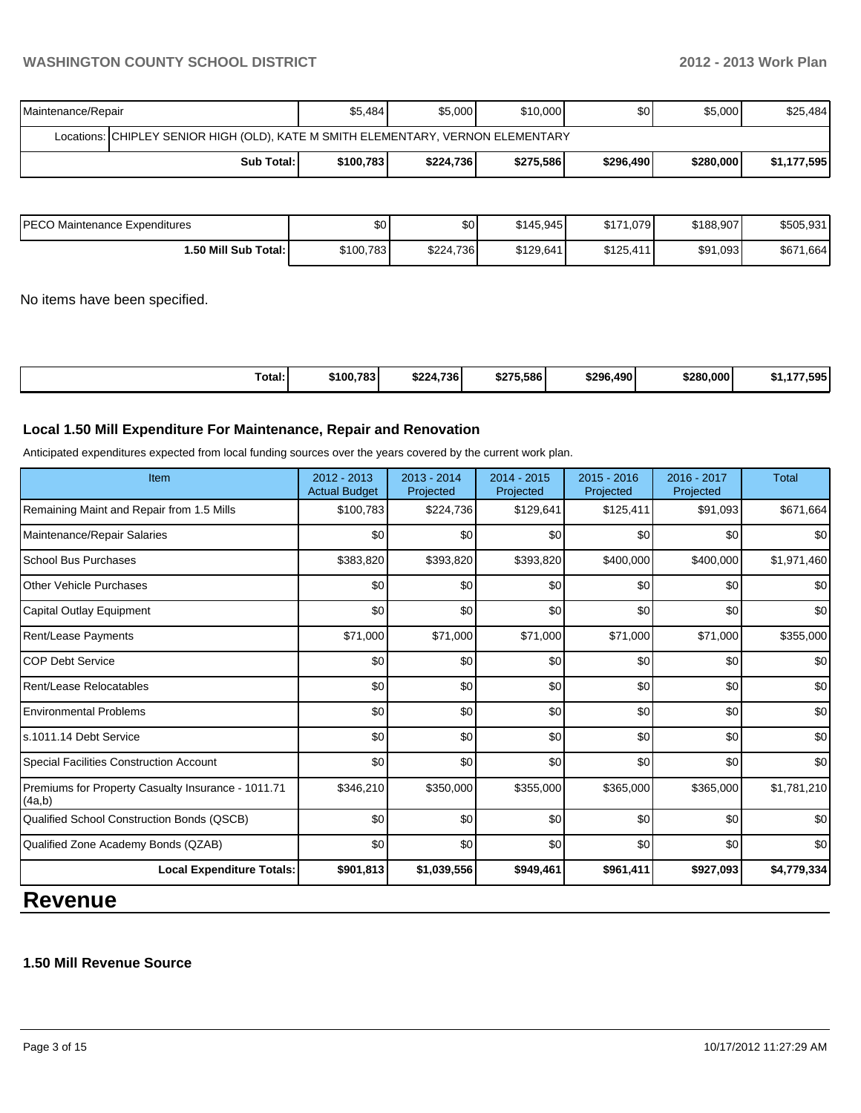# **WASHINGTON COUNTY SCHOOL DISTRICT 2012 - 2013 Work Plan**

| Maintenance/Repair                                                               | \$5,484    | \$5,000   | \$10,000  | \$0 <sub>1</sub> | \$5,000   | \$25,484    |  |  |
|----------------------------------------------------------------------------------|------------|-----------|-----------|------------------|-----------|-------------|--|--|
| Locations: CHIPLEY SENIOR HIGH (OLD), KATE M SMITH ELEMENTARY, VERNON ELEMENTARY |            |           |           |                  |           |             |  |  |
| <b>Sub Total:</b>                                                                | \$100.7831 | \$224,736 | \$275,586 | \$296,490        | \$280,000 | \$1,177,595 |  |  |

| IPECO Maintenance Expenditures | ا 30      | \$0       | \$145.945 | \$171,079 | \$188,907 | \$505,931 |
|--------------------------------|-----------|-----------|-----------|-----------|-----------|-----------|
| 1.50 Mill Sub Total: I         | \$100,783 | \$224,736 | \$129,641 | \$125,411 | \$91,093  | \$671,664 |

No items have been specified.

| Total: | \$100.783 | \$224.736 | \$275.586 | \$296,490 | \$280,000 | 7.595<br>$\sim$ $\sim$ |
|--------|-----------|-----------|-----------|-----------|-----------|------------------------|
|--------|-----------|-----------|-----------|-----------|-----------|------------------------|

#### **Local 1.50 Mill Expenditure For Maintenance, Repair and Renovation**

Anticipated expenditures expected from local funding sources over the years covered by the current work plan.

| Item                                                         | 2012 - 2013<br><b>Actual Budget</b> | 2013 - 2014<br>Projected | $2014 - 2015$<br>Projected | $2015 - 2016$<br>Projected | 2016 - 2017<br>Projected | <b>Total</b> |
|--------------------------------------------------------------|-------------------------------------|--------------------------|----------------------------|----------------------------|--------------------------|--------------|
| Remaining Maint and Repair from 1.5 Mills                    | \$100,783                           | \$224,736                | \$129,641                  | \$125,411                  | \$91,093                 | \$671,664    |
| Maintenance/Repair Salaries                                  | \$0                                 | \$0                      | \$0                        | \$0                        | \$0                      | \$0          |
| <b>School Bus Purchases</b>                                  | \$383,820                           | \$393,820                | \$393,820                  | \$400,000                  | \$400,000                | \$1,971,460  |
| <b>Other Vehicle Purchases</b>                               | \$0                                 | \$0                      | \$0                        | \$0                        | \$0                      | \$0          |
| Capital Outlay Equipment                                     | \$0                                 | \$0                      | \$0                        | \$0                        | \$0                      | \$0          |
| Rent/Lease Payments                                          | \$71,000                            | \$71,000                 | \$71,000                   | \$71,000                   | \$71,000                 | \$355,000    |
| <b>COP Debt Service</b>                                      | \$0                                 | \$0                      | \$0                        | \$0                        | \$0                      | \$0          |
| Rent/Lease Relocatables                                      | \$0                                 | \$0                      | \$0                        | \$0                        | \$0                      | \$0          |
| <b>Environmental Problems</b>                                | \$0                                 | \$0                      | \$0                        | \$0                        | \$0                      | \$0          |
| ls.1011.14 Debt Service                                      | \$0                                 | \$0                      | \$0                        | \$0                        | \$0                      | \$0          |
| Special Facilities Construction Account                      | \$0                                 | \$0                      | \$0                        | \$0                        | \$0                      | \$0          |
| Premiums for Property Casualty Insurance - 1011.71<br>(4a,b) | \$346,210                           | \$350,000                | \$355,000                  | \$365,000                  | \$365,000                | \$1,781,210  |
| Qualified School Construction Bonds (QSCB)                   | \$0                                 | \$0                      | \$0                        | \$0                        | \$0                      | \$0          |
| Qualified Zone Academy Bonds (QZAB)                          | \$0                                 | \$0                      | \$0                        | \$0                        | \$0                      | \$0          |
| <b>Local Expenditure Totals:</b>                             | \$901,813                           | \$1,039,556              | \$949,461                  | \$961,411                  | \$927,093                | \$4,779,334  |
|                                                              |                                     |                          |                            |                            |                          |              |

# **Revenue**

# **1.50 Mill Revenue Source**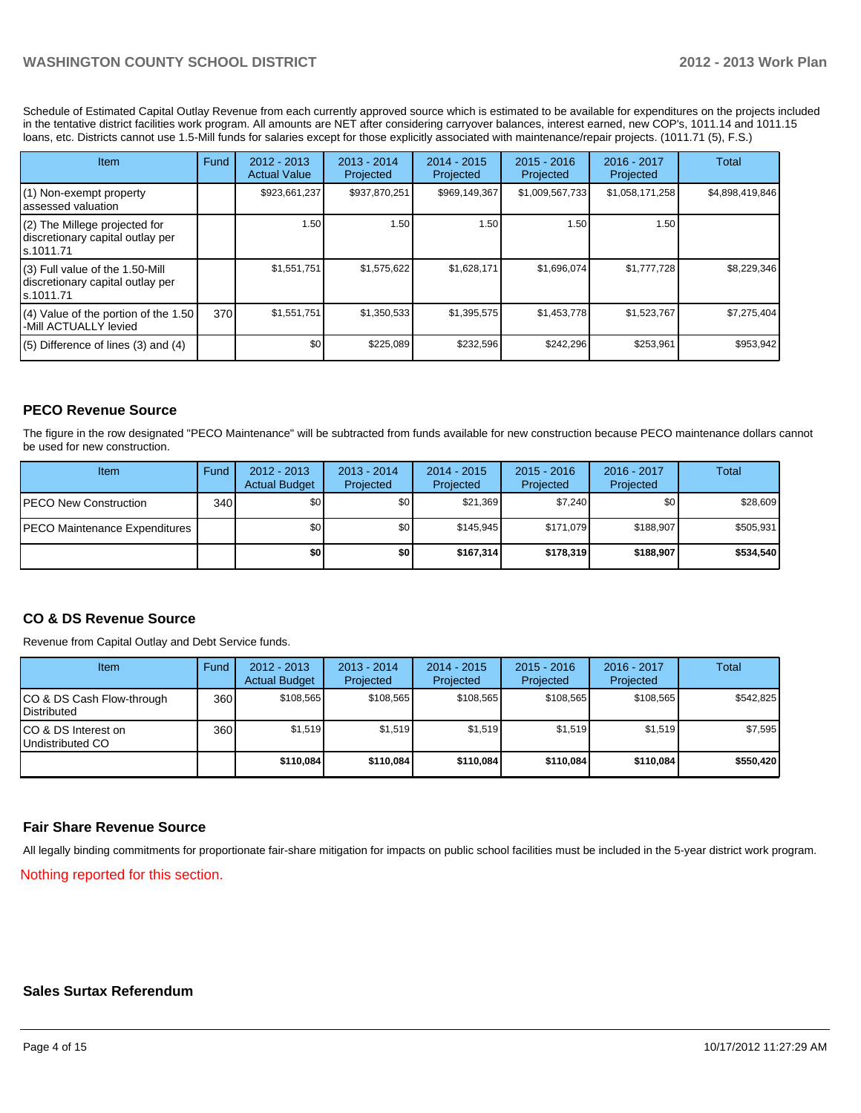# **WASHINGTON COUNTY SCHOOL DISTRICT 2012 - 2013 Work Plan**

Schedule of Estimated Capital Outlay Revenue from each currently approved source which is estimated to be available for expenditures on the projects included in the tentative district facilities work program. All amounts are NET after considering carryover balances, interest earned, new COP's, 1011.14 and 1011.15 loans, etc. Districts cannot use 1.5-Mill funds for salaries except for those explicitly associated with maintenance/repair projects. (1011.71 (5), F.S.)

| Item                                                                              | Fund | $2012 - 2013$<br><b>Actual Value</b> | $2013 - 2014$<br>Projected | $2014 - 2015$<br>Projected | $2015 - 2016$<br>Projected | $2016 - 2017$<br>Projected | Total           |
|-----------------------------------------------------------------------------------|------|--------------------------------------|----------------------------|----------------------------|----------------------------|----------------------------|-----------------|
| (1) Non-exempt property<br>lassessed valuation                                    |      | \$923,661,237                        | \$937,870,251              | \$969,149,367              | \$1,009,567,733            | \$1,058,171,258            | \$4,898,419,846 |
| (2) The Millege projected for<br>discretionary capital outlay per<br>ls.1011.71   |      | 1.50                                 | 1.50                       | 1.50                       | 1.50                       | 1.50                       |                 |
| (3) Full value of the 1.50-Mill<br>discretionary capital outlay per<br>ls.1011.71 |      | \$1,551,751                          | \$1,575,622                | \$1,628,171                | \$1,696,074                | \$1,777,728                | \$8,229,346     |
| $(4)$ Value of the portion of the 1.50<br>-Mill ACTUALLY levied                   | 370  | \$1,551,751                          | \$1,350,533                | \$1,395,575                | \$1,453,778                | \$1,523,767                | \$7,275,404     |
| $(5)$ Difference of lines $(3)$ and $(4)$                                         |      | \$0 <sub>1</sub>                     | \$225,089                  | \$232,596                  | \$242,296                  | \$253,961                  | \$953,942       |

### **PECO Revenue Source**

The figure in the row designated "PECO Maintenance" will be subtracted from funds available for new construction because PECO maintenance dollars cannot be used for new construction.

| Item                                  | Fund | $2012 - 2013$<br><b>Actual Budget</b> | $2013 - 2014$<br>Projected | $2014 - 2015$<br>Projected | $2015 - 2016$<br>Projected | 2016 - 2017<br>Projected | Total     |
|---------------------------------------|------|---------------------------------------|----------------------------|----------------------------|----------------------------|--------------------------|-----------|
| <b>IPECO New Construction</b>         | 340  | \$0                                   | \$0                        | \$21.369                   | \$7.240                    | \$0                      | \$28,609  |
| <b>IPECO Maintenance Expenditures</b> |      | \$0                                   | \$0                        | \$145.945                  | \$171.079                  | \$188,907                | \$505,931 |
|                                       |      | \$0                                   | \$0 I                      | \$167.314                  | \$178,319                  | \$188,907                | \$534,540 |

#### **CO & DS Revenue Source**

Revenue from Capital Outlay and Debt Service funds.

| Item                                              | Fund | 2012 - 2013<br><b>Actual Budget</b> | $2013 - 2014$<br>Projected | $2014 - 2015$<br>Projected | $2015 - 2016$<br>Projected | $2016 - 2017$<br>Projected | Total     |
|---------------------------------------------------|------|-------------------------------------|----------------------------|----------------------------|----------------------------|----------------------------|-----------|
| CO & DS Cash Flow-through<br><b>I</b> Distributed | 360  | \$108.565                           | \$108.565                  | \$108.565                  | \$108.565                  | \$108.565                  | \$542,825 |
| ICO & DS Interest on<br>Undistributed CO          | 360  | \$1,519                             | \$1,519                    | \$1,519                    | \$1.519                    | \$1,519                    | \$7,595   |
|                                                   |      | \$110,084                           | \$110.084                  | \$110.084                  | \$110,084                  | \$110,084                  | \$550,420 |

#### **Fair Share Revenue Source**

All legally binding commitments for proportionate fair-share mitigation for impacts on public school facilities must be included in the 5-year district work program.

Nothing reported for this section.

#### **Sales Surtax Referendum**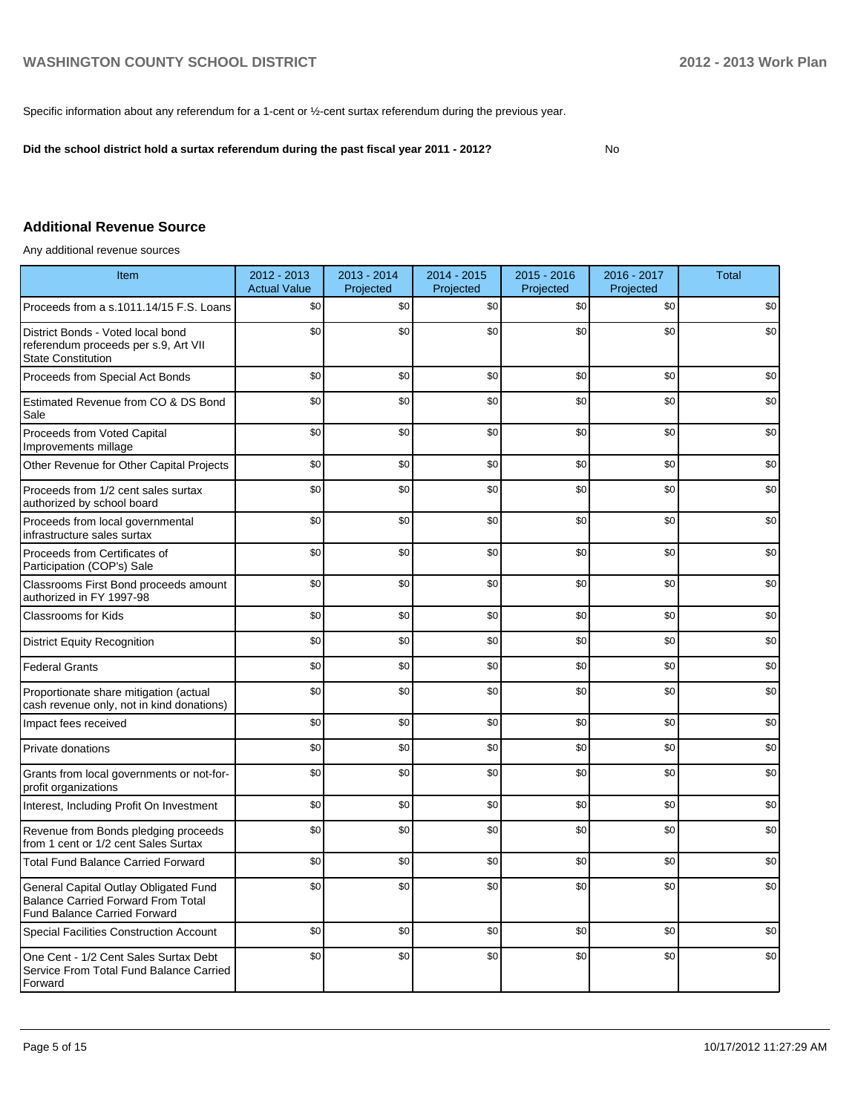Specific information about any referendum for a 1-cent or ½-cent surtax referendum during the previous year.

**Did the school district hold a surtax referendum during the past fiscal year 2011 - 2012?**

No

## **Additional Revenue Source**

Any additional revenue sources

| Item                                                                                                                      | 2012 - 2013<br><b>Actual Value</b> | $2013 - 2014$<br>Projected | 2014 - 2015<br>Projected | $2015 - 2016$<br>Projected | 2016 - 2017<br>Projected | <b>Total</b> |
|---------------------------------------------------------------------------------------------------------------------------|------------------------------------|----------------------------|--------------------------|----------------------------|--------------------------|--------------|
| Proceeds from a s.1011.14/15 F.S. Loans                                                                                   | \$0                                | \$0                        | \$0                      | \$0                        | \$0                      | \$0          |
| District Bonds - Voted local bond<br>referendum proceeds per s.9, Art VII<br><b>State Constitution</b>                    | \$0                                | \$0                        | \$0                      | \$0                        | \$0                      | \$0          |
| Proceeds from Special Act Bonds                                                                                           | \$0                                | \$0                        | \$0                      | \$0                        | \$0                      | \$0          |
| Estimated Revenue from CO & DS Bond<br>Sale                                                                               | \$0                                | \$0                        | \$0                      | \$0                        | \$0                      | \$0          |
| Proceeds from Voted Capital<br>Improvements millage                                                                       | \$0                                | \$0                        | \$0                      | \$0                        | \$0                      | \$0          |
| Other Revenue for Other Capital Projects                                                                                  | \$0                                | \$0                        | \$0                      | \$0                        | \$0                      | \$0          |
| Proceeds from 1/2 cent sales surtax<br>authorized by school board                                                         | \$0                                | \$0                        | \$0                      | \$0                        | \$0                      | \$0          |
| Proceeds from local governmental<br>infrastructure sales surtax                                                           | \$0                                | \$0                        | \$0                      | \$0                        | \$0                      | \$0          |
| Proceeds from Certificates of<br>Participation (COP's) Sale                                                               | \$0                                | \$0                        | \$0                      | \$0                        | \$0                      | \$0          |
| Classrooms First Bond proceeds amount<br>authorized in FY 1997-98                                                         | \$0                                | \$0                        | \$0                      | \$0                        | \$0                      | \$0          |
| <b>Classrooms for Kids</b>                                                                                                | \$0                                | \$0                        | \$0                      | \$0                        | \$0                      | \$0          |
| <b>District Equity Recognition</b>                                                                                        | \$0                                | \$0                        | \$0                      | \$0                        | \$0                      | \$0          |
| <b>Federal Grants</b>                                                                                                     | \$0                                | \$0                        | \$0                      | \$0                        | \$0                      | \$0          |
| Proportionate share mitigation (actual<br>cash revenue only, not in kind donations)                                       | \$0                                | \$0                        | \$0                      | \$0                        | \$0                      | \$0          |
| Impact fees received                                                                                                      | \$0                                | \$0                        | \$0                      | \$0                        | \$0                      | \$0          |
| Private donations                                                                                                         | \$0                                | \$0                        | \$0                      | \$0                        | \$0                      | \$0          |
| Grants from local governments or not-for-<br>profit organizations                                                         | \$0                                | \$0                        | \$0                      | \$0                        | \$0                      | \$0          |
| Interest, Including Profit On Investment                                                                                  | \$0                                | \$0                        | \$0                      | \$0                        | \$0                      | \$0          |
| Revenue from Bonds pledging proceeds<br>from 1 cent or 1/2 cent Sales Surtax                                              | \$0                                | \$0                        | \$0                      | \$0                        | \$0                      | \$0          |
| <b>Total Fund Balance Carried Forward</b>                                                                                 | \$0                                | \$0                        | \$0                      | \$0                        | \$0                      | \$0          |
| General Capital Outlay Obligated Fund<br><b>Balance Carried Forward From Total</b><br><b>Fund Balance Carried Forward</b> | \$0                                | \$0                        | \$0                      | \$0                        | \$0                      | \$0          |
| <b>Special Facilities Construction Account</b>                                                                            | \$0                                | \$0                        | \$0                      | \$0                        | \$0                      | \$0          |
| One Cent - 1/2 Cent Sales Surtax Debt<br>Service From Total Fund Balance Carried<br>Forward                               | \$0                                | \$0                        | \$0                      | \$0                        | \$0                      | \$0          |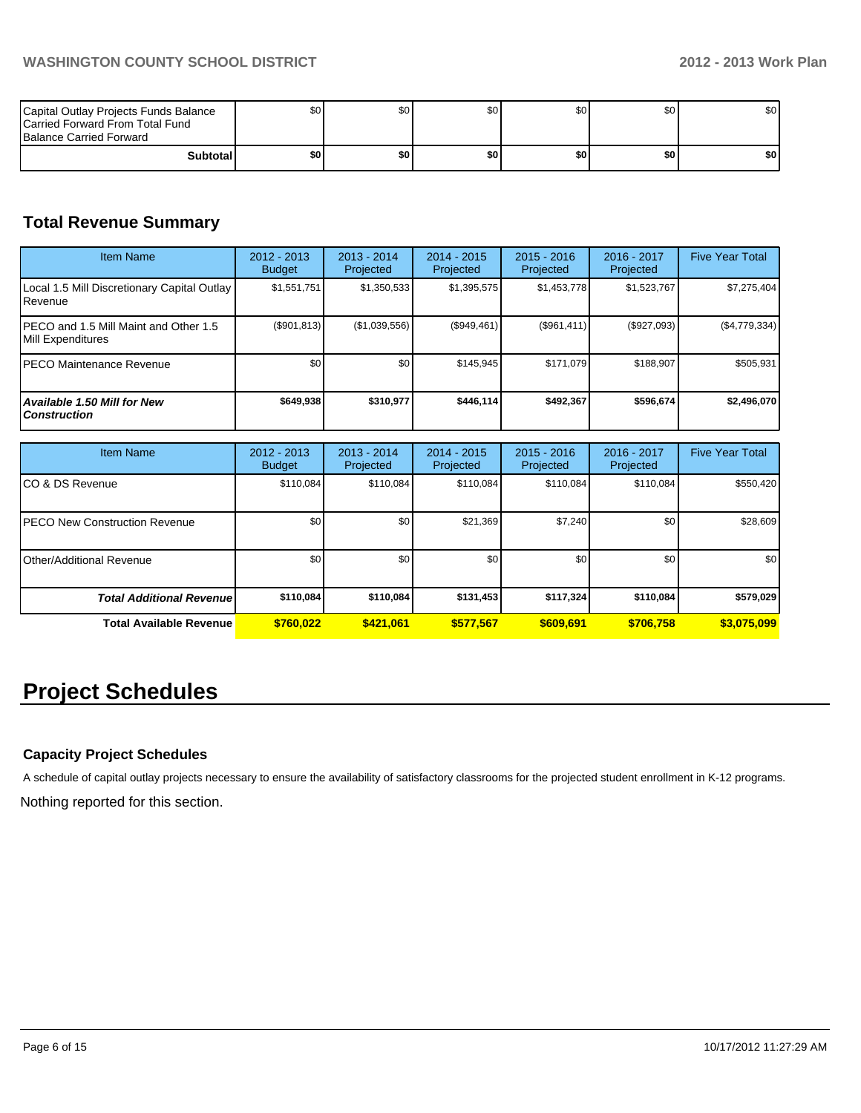| Capital Outlay Projects Funds Balance<br>Carried Forward From Total Fund<br><b>Balance Carried Forward</b> | \$0   | \$0 | \$0 <sub>1</sub> | \$0 | \$0 | \$٥١  |
|------------------------------------------------------------------------------------------------------------|-------|-----|------------------|-----|-----|-------|
| <b>Subtotal</b>                                                                                            | \$O I | \$0 | \$0              | \$0 | \$0 | \$0 I |

# **Total Revenue Summary**

| <b>Item Name</b>                                           | $2012 - 2013$<br><b>Budget</b> | $2013 - 2014$<br>Projected | $2014 - 2015$<br><b>Projected</b> | $2015 - 2016$<br>Projected | $2016 - 2017$<br>Projected | <b>Five Year Total</b> |
|------------------------------------------------------------|--------------------------------|----------------------------|-----------------------------------|----------------------------|----------------------------|------------------------|
| Local 1.5 Mill Discretionary Capital Outlay<br>l Revenue   | \$1,551,751                    | \$1,350,533                | \$1,395,575                       | \$1,453,778                | \$1,523,767                | \$7,275,404            |
| PECO and 1.5 Mill Maint and Other 1.5<br>Mill Expenditures | (\$901, 813)                   | (\$1,039,556)              | (\$949,461)                       | (S961, 411)                | (\$927,093)                | (\$4,779,334)          |
| IPECO Maintenance Revenue                                  | \$0 <sub>1</sub>               | \$0                        | \$145.945                         | \$171.079                  | \$188,907                  | \$505,931              |
| Available 1.50 Mill for New<br><b>Construction</b>         | \$649,938                      | \$310.977                  | \$446.114                         | \$492.367                  | \$596,674                  | \$2,496,070            |

| Item Name                             | 2012 - 2013<br><b>Budget</b> | $2013 - 2014$<br>Projected | $2014 - 2015$<br>Projected | $2015 - 2016$<br>Projected | 2016 - 2017<br>Projected | <b>Five Year Total</b> |
|---------------------------------------|------------------------------|----------------------------|----------------------------|----------------------------|--------------------------|------------------------|
| ICO & DS Revenue                      | \$110,084                    | \$110,084                  | \$110.084                  | \$110,084                  | \$110,084                | \$550,420              |
| <b>IPECO New Construction Revenue</b> | \$0                          | \$0                        | \$21,369                   | \$7,240                    | \$0                      | \$28,609               |
| <b>I</b> Other/Additional Revenue     | \$0                          | \$0                        | \$0                        | \$0 <sub>1</sub>           | \$0 <sub>1</sub>         | \$0                    |
| <b>Total Additional Revenuel</b>      | \$110,084                    | \$110,084                  | \$131,453                  | \$117,324                  | \$110,084                | \$579,029              |
| <b>Total Available Revenue</b>        | \$760.022                    | \$421,061                  | \$577.567                  | \$609.691                  | \$706.758                | \$3,075,099            |

# **Project Schedules**

# **Capacity Project Schedules**

A schedule of capital outlay projects necessary to ensure the availability of satisfactory classrooms for the projected student enrollment in K-12 programs.

Nothing reported for this section.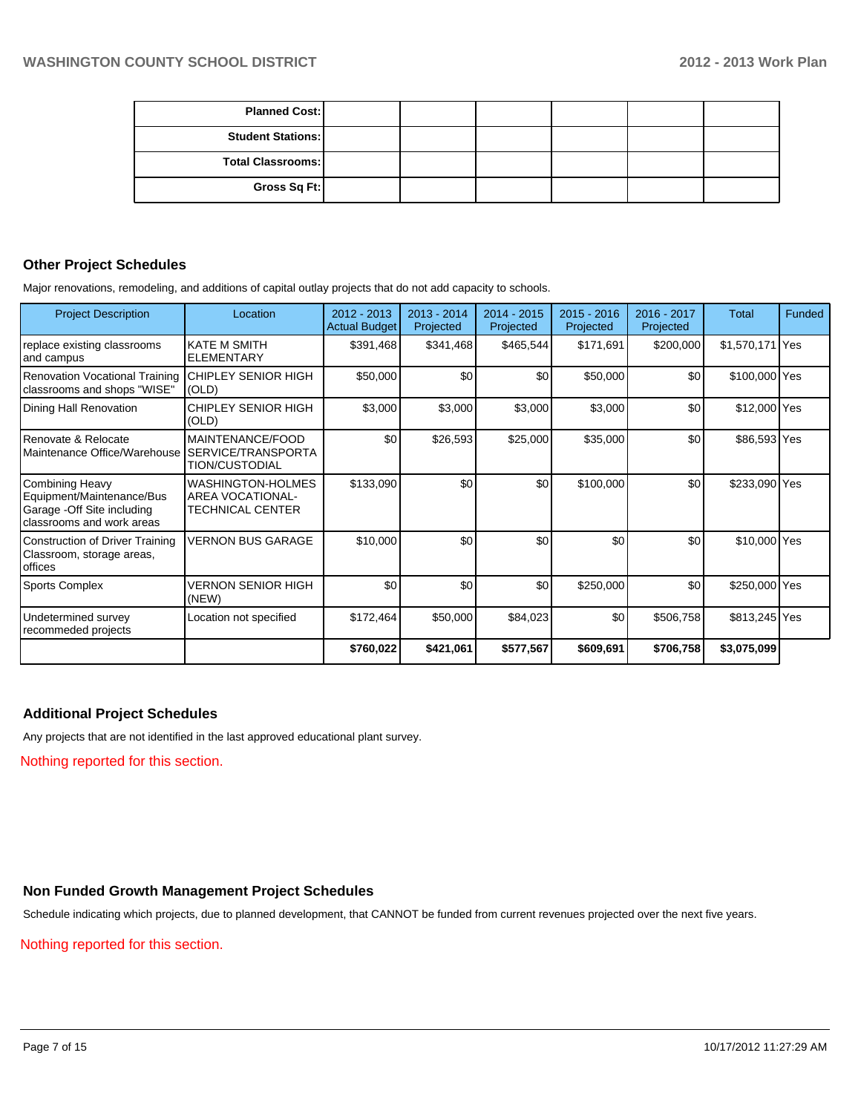| <b>Planned Cost:</b>     |  |  |  |
|--------------------------|--|--|--|
| <b>Student Stations:</b> |  |  |  |
| Total Classrooms:        |  |  |  |
| Gross Sq Ft:             |  |  |  |

#### **Other Project Schedules**

Major renovations, remodeling, and additions of capital outlay projects that do not add capacity to schools.

| <b>Project Description</b>                                                                                      | Location                                                                | $2012 - 2013$<br><b>Actual Budget</b> | 2013 - 2014<br>Projected | $2014 - 2015$<br>Projected | $2015 - 2016$<br>Projected | 2016 - 2017<br>Projected | <b>Total</b>    | Funded |
|-----------------------------------------------------------------------------------------------------------------|-------------------------------------------------------------------------|---------------------------------------|--------------------------|----------------------------|----------------------------|--------------------------|-----------------|--------|
| replace existing classrooms<br>and campus                                                                       | <b>KATE M SMITH</b><br><b>ELEMENTARY</b>                                | \$391,468                             | \$341,468                | \$465,544                  | \$171,691                  | \$200,000                | \$1,570,171 Yes |        |
| <b>Renovation Vocational Training</b><br>classrooms and shops "WISE"                                            | <b>CHIPLEY SENIOR HIGH</b><br>(OLD)                                     | \$50,000                              | \$0                      | \$0                        | \$50,000                   | \$0                      | \$100,000 Yes   |        |
| Dining Hall Renovation                                                                                          | CHIPLEY SENIOR HIGH<br>(OLD)                                            | \$3,000                               | \$3,000                  | \$3,000                    | \$3,000                    | \$0                      | \$12,000 Yes    |        |
| Renovate & Relocate<br>Maintenance Office/Warehouse                                                             | MAINTENANCE/FOOD<br>SERVICE/TRANSPORTA<br>TION/CUSTODIAL                | \$0                                   | \$26,593                 | \$25,000                   | \$35,000                   | \$0                      | \$86,593 Yes    |        |
| <b>Combining Heavy</b><br>Equipment/Maintenance/Bus<br>Garage - Off Site including<br>classrooms and work areas | <b>WASHINGTON-HOLMES</b><br><b>AREA VOCATIONAL-</b><br>TECHNICAL CENTER | \$133,090                             | \$0                      | \$0                        | \$100,000                  | \$0                      | \$233,090 Yes   |        |
| <b>Construction of Driver Training</b><br>Classroom, storage areas,<br>offices                                  | <b>VERNON BUS GARAGE</b>                                                | \$10,000                              | \$0                      | \$0                        | \$0                        | \$0                      | \$10,000 Yes    |        |
| <b>Sports Complex</b>                                                                                           | <b>VERNON SENIOR HIGH</b><br>(NEW)                                      | \$0                                   | \$0                      | \$0                        | \$250,000                  | \$0                      | \$250,000 Yes   |        |
| Undetermined survey<br>recommeded projects                                                                      | Location not specified                                                  | \$172,464                             | \$50,000                 | \$84,023                   | \$0                        | \$506,758                | \$813,245 Yes   |        |
|                                                                                                                 |                                                                         | \$760,022                             | \$421,061                | \$577,567                  | \$609,691                  | \$706,758                | \$3,075,099     |        |

#### **Additional Project Schedules**

Any projects that are not identified in the last approved educational plant survey.

Nothing reported for this section.

# **Non Funded Growth Management Project Schedules**

Schedule indicating which projects, due to planned development, that CANNOT be funded from current revenues projected over the next five years.

Nothing reported for this section.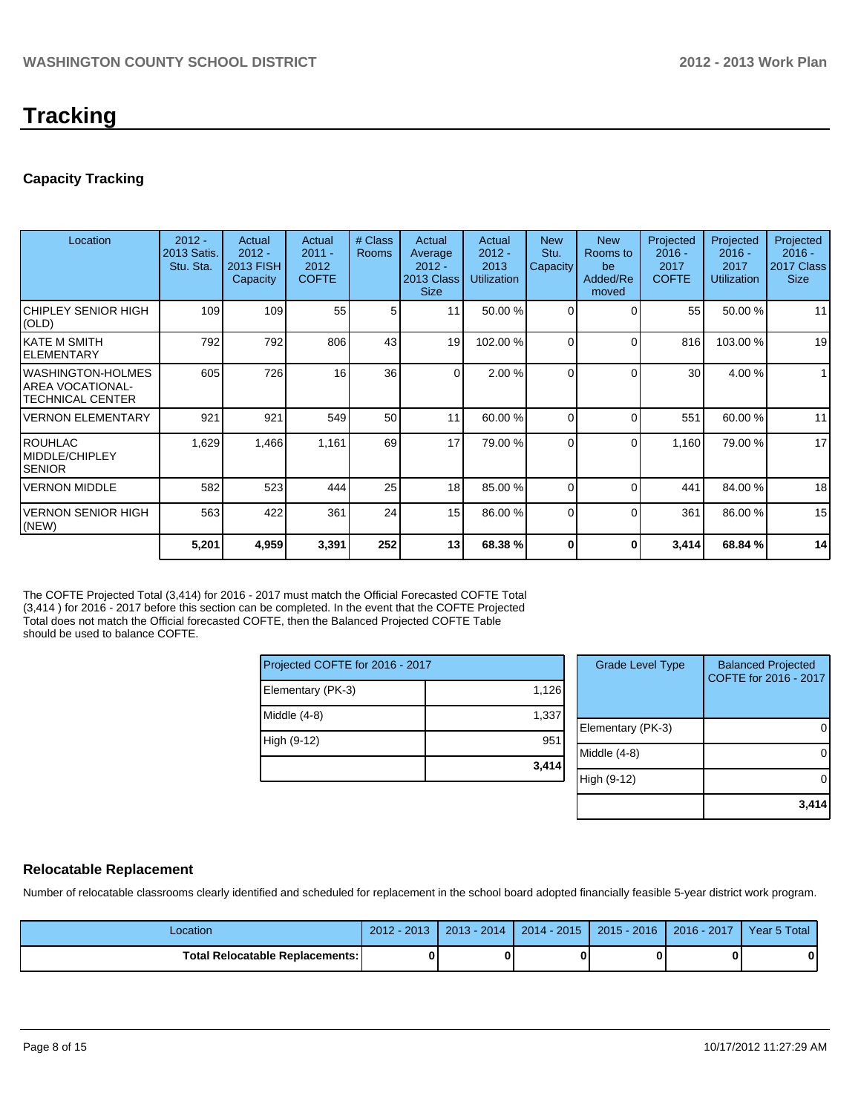# **Tracking**

# **Capacity Tracking**

| Location                                                                | $2012 -$<br>2013 Satis.<br>Stu. Sta. | Actual<br>$2012 -$<br>2013 FISH<br>Capacity | Actual<br>$2011 -$<br>2012<br><b>COFTE</b> | # Class<br><b>Rooms</b> | Actual<br>Average<br>$2012 -$<br>2013 Class<br><b>Size</b> | Actual<br>$2012 -$<br>2013<br><b>Utilization</b> | <b>New</b><br>Stu.<br>Capacity | <b>New</b><br>Rooms to<br>be<br>Added/Re<br>moved | Projected<br>$2016 -$<br>2017<br><b>COFTE</b> | Projected<br>$2016 -$<br>2017<br><b>Utilization</b> | Projected<br>$2016 -$<br>2017 Class<br><b>Size</b> |
|-------------------------------------------------------------------------|--------------------------------------|---------------------------------------------|--------------------------------------------|-------------------------|------------------------------------------------------------|--------------------------------------------------|--------------------------------|---------------------------------------------------|-----------------------------------------------|-----------------------------------------------------|----------------------------------------------------|
| CHIPLEY SENIOR HIGH<br>(OLD)                                            | 109                                  | 109                                         | 55                                         | 5                       | 11                                                         | 50.00 %                                          | $\Omega$                       | $\Omega$                                          | 55                                            | 50.00 %                                             | 11                                                 |
| IKATE M SMITH<br>IELEMENTARY                                            | 792                                  | 792                                         | 806                                        | 43                      | 19                                                         | 102.00 %                                         | 0                              | $\Omega$                                          | 816                                           | 103.00 %                                            | 19                                                 |
| <b>WASHINGTON-HOLMES</b><br><b>AREA VOCATIONAL-</b><br>TECHNICAL CENTER | 605                                  | 726                                         | 16                                         | 36                      | $\Omega$                                                   | 2.00 %                                           | U                              | $\Omega$                                          | 30 <sup>1</sup>                               | 4.00 %                                              | $\mathbf{1}$                                       |
| <b>VERNON ELEMENTARY</b>                                                | 921                                  | 921                                         | 549                                        | 50                      | 11                                                         | 60.00 %                                          | 0                              | $\Omega$                                          | 551                                           | 60.00 %                                             | 11                                                 |
| IROUHLAC<br>MIDDLE/CHIPLEY<br><b>SENIOR</b>                             | 1,629                                | 1,466                                       | 1,161                                      | 69                      | 17                                                         | 79.00 %                                          | $\Omega$                       | $\Omega$                                          | 1,160                                         | 79.00 %                                             | 17                                                 |
| <b>VERNON MIDDLE</b>                                                    | 582                                  | 523                                         | 444                                        | 25                      | 18 <sup>1</sup>                                            | 85.00 %                                          | 0                              | $\Omega$                                          | 441                                           | 84.00 %                                             | 18                                                 |
| <b>VERNON SENIOR HIGH</b><br>(NEW)                                      | 563                                  | 422                                         | 361                                        | 24                      | 15                                                         | 86.00 %                                          | 0                              | $\Omega$                                          | 361                                           | 86.00 %                                             | 15                                                 |
|                                                                         | 5,201                                | 4,959                                       | 3,391                                      | 252                     | 13 <sup>1</sup>                                            | 68.38 %                                          |                                | 0                                                 | 3,414                                         | 68.84 %                                             | 14                                                 |

The COFTE Projected Total (3,414) for 2016 - 2017 must match the Official Forecasted COFTE Total (3,414 ) for 2016 - 2017 before this section can be completed. In the event that the COFTE Projected Total does not match the Official forecasted COFTE, then the Balanced Projected COFTE Table should be used to balance COFTE.

| Projected COFTE for 2016 - 2017 |       |
|---------------------------------|-------|
| Elementary (PK-3)               | 1,126 |
| Middle (4-8)                    | 1,337 |
| High (9-12)                     | 951   |
|                                 | 3,414 |

| <b>Grade Level Type</b> | <b>Balanced Projected</b><br>COFTE for 2016 - 2017 |
|-------------------------|----------------------------------------------------|
| Elementary (PK-3)       |                                                    |
| Middle $(4-8)$          |                                                    |
| High (9-12)             |                                                    |
|                         | 3.41                                               |

## **Relocatable Replacement**

Number of relocatable classrooms clearly identified and scheduled for replacement in the school board adopted financially feasible 5-year district work program.

| Location                          | $2012 - 2013$ | 2013 - 2014 | $2014 - 2015$ | $2015 - 2016$ | $2016 - 2017$ | Year 5 Total |
|-----------------------------------|---------------|-------------|---------------|---------------|---------------|--------------|
| Total Relocatable Replacements: I |               |             |               |               |               |              |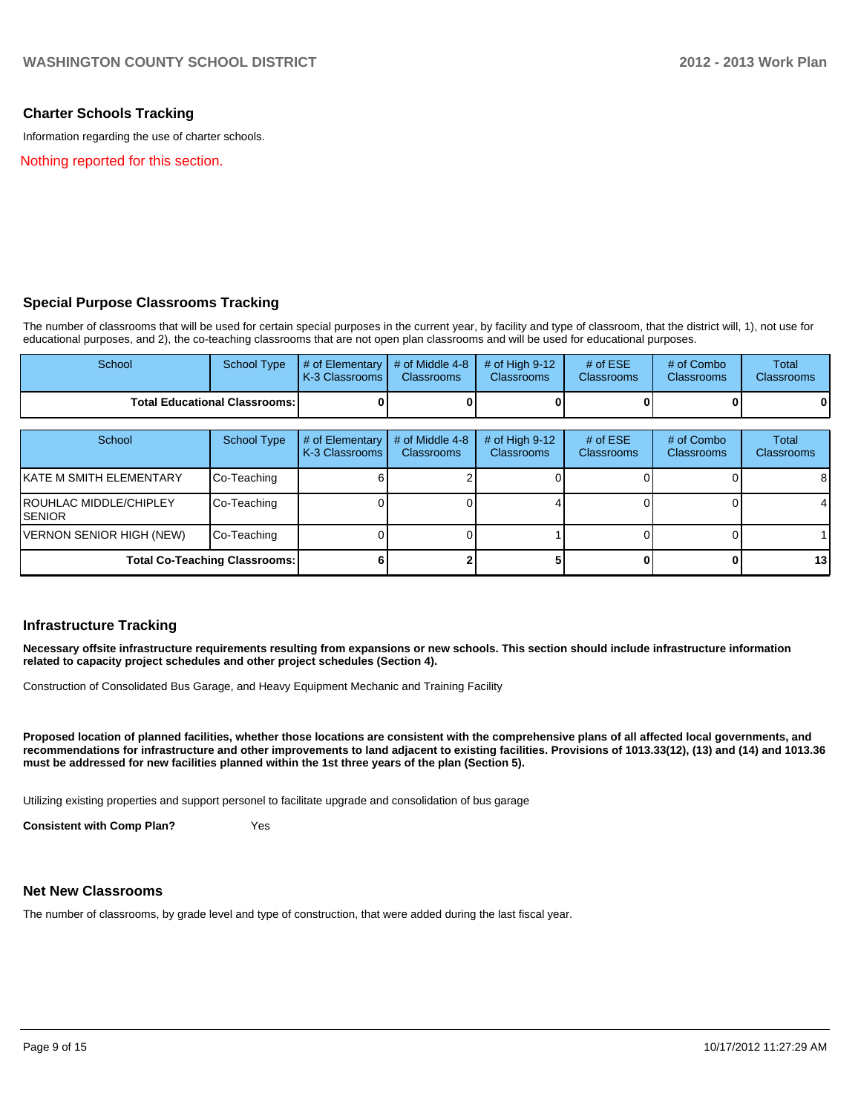#### **Charter Schools Tracking**

Information regarding the use of charter schools.

Nothing reported for this section.

#### **Special Purpose Classrooms Tracking**

The number of classrooms that will be used for certain special purposes in the current year, by facility and type of classroom, that the district will, 1), not use for educational purposes, and 2), the co-teaching classrooms that are not open plan classrooms and will be used for educational purposes.

| School                                 | School Type | $\parallel$ # of Elementary $\parallel$ # of Middle 4-8 $\parallel$ # of High 9-12<br><b>IK-3 Classrooms I</b> | <b>Classrooms</b> | <b>Classrooms</b> | # of $ESE$<br><b>Classrooms</b> | # of Combo<br><b>Classrooms</b> | Total<br><b>Classrooms</b> |
|----------------------------------------|-------------|----------------------------------------------------------------------------------------------------------------|-------------------|-------------------|---------------------------------|---------------------------------|----------------------------|
| <b>Total Educational Classrooms: I</b> |             |                                                                                                                |                   |                   |                                 | 0                               | 0                          |

| School                                    | School Type                          | # of Elementary<br>K-3 Classrooms | # of Middle 4-8<br><b>Classrooms</b> | $#$ of High 9-12<br><b>Classrooms</b> | # of $ESE$<br><b>Classrooms</b> | # of Combo<br><b>Classrooms</b> | Total<br><b>Classrooms</b> |
|-------------------------------------------|--------------------------------------|-----------------------------------|--------------------------------------|---------------------------------------|---------------------------------|---------------------------------|----------------------------|
| IKATE M SMITH ELEMENTARY                  | Co-Teaching                          |                                   |                                      |                                       |                                 |                                 | 8                          |
| <b>IROUHLAC MIDDLE/CHIPLEY</b><br>ISENIOR | Co-Teaching                          |                                   |                                      |                                       |                                 |                                 |                            |
| VERNON SENIOR HIGH (NEW)                  | Co-Teaching                          |                                   |                                      |                                       |                                 |                                 |                            |
|                                           | <b>Total Co-Teaching Classrooms:</b> |                                   |                                      |                                       |                                 |                                 | 13                         |

#### **Infrastructure Tracking**

**Necessary offsite infrastructure requirements resulting from expansions or new schools. This section should include infrastructure information related to capacity project schedules and other project schedules (Section 4).**

Construction of Consolidated Bus Garage, and Heavy Equipment Mechanic and Training Facility

**Proposed location of planned facilities, whether those locations are consistent with the comprehensive plans of all affected local governments, and recommendations for infrastructure and other improvements to land adjacent to existing facilities. Provisions of 1013.33(12), (13) and (14) and 1013.36 must be addressed for new facilities planned within the 1st three years of the plan (Section 5).**

Utilizing existing properties and support personel to facilitate upgrade and consolidation of bus garage

**Consistent with Comp Plan?** Yes

#### **Net New Classrooms**

The number of classrooms, by grade level and type of construction, that were added during the last fiscal year.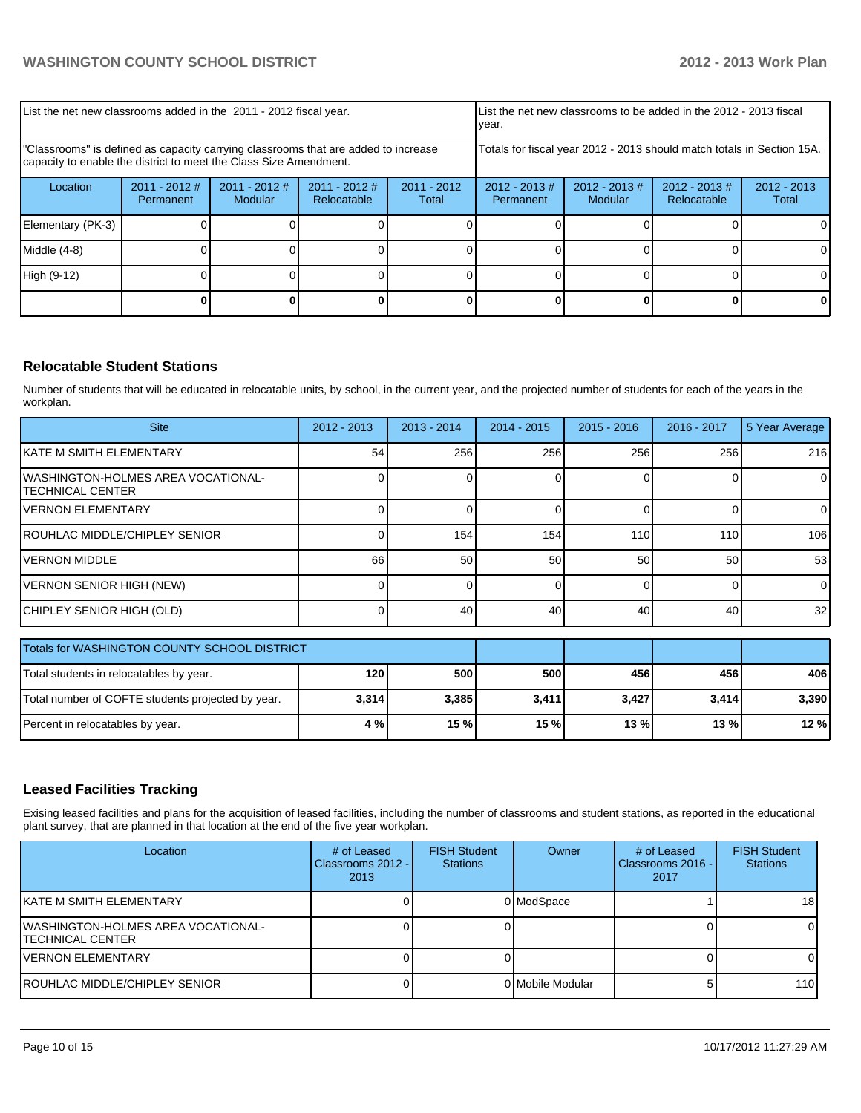|                                                                                                                                                         | List the net new classrooms to be added in the 2012 - 2013 fiscal<br>List the net new classrooms added in the 2011 - 2012 fiscal year.<br>Ivear. |                            |                                |                        |                                                                        |                             |                                |                        |
|---------------------------------------------------------------------------------------------------------------------------------------------------------|--------------------------------------------------------------------------------------------------------------------------------------------------|----------------------------|--------------------------------|------------------------|------------------------------------------------------------------------|-----------------------------|--------------------------------|------------------------|
| "Classrooms" is defined as capacity carrying classrooms that are added to increase<br>capacity to enable the district to meet the Class Size Amendment. |                                                                                                                                                  |                            |                                |                        | Totals for fiscal year 2012 - 2013 should match totals in Section 15A. |                             |                                |                        |
| Location                                                                                                                                                | $2011 - 2012$ #<br>Permanent                                                                                                                     | $2011 - 2012$ #<br>Modular | $2011 - 2012$ #<br>Relocatable | $2011 - 2012$<br>Total | $2012 - 2013$ #<br>Permanent                                           | $2012 - 2013 \#$<br>Modular | $2012 - 2013$ #<br>Relocatable | $2012 - 2013$<br>Total |
| Elementary (PK-3)                                                                                                                                       |                                                                                                                                                  |                            |                                |                        |                                                                        |                             |                                | ΩI                     |
| Middle $(4-8)$                                                                                                                                          |                                                                                                                                                  |                            |                                |                        |                                                                        |                             |                                | 01                     |
| High (9-12)                                                                                                                                             |                                                                                                                                                  |                            |                                |                        |                                                                        |                             |                                |                        |
|                                                                                                                                                         |                                                                                                                                                  |                            |                                |                        |                                                                        |                             |                                |                        |

## **Relocatable Student Stations**

Number of students that will be educated in relocatable units, by school, in the current year, and the projected number of students for each of the years in the workplan.

| <b>Site</b>                                                            | $2012 - 2013$ | $2013 - 2014$ | $2014 - 2015$ | $2015 - 2016$ | 2016 - 2017 | 5 Year Average  |
|------------------------------------------------------------------------|---------------|---------------|---------------|---------------|-------------|-----------------|
| IKATE M SMITH ELEMENTARY                                               | 54            | 256           | 256           | 256           | 256         | 216             |
| <b>IWASHINGTON-HOLMES AREA VOCATIONAL-</b><br><b>ITECHNICAL CENTER</b> |               |               |               |               |             | $\overline{0}$  |
| IVERNON ELEMENTARY                                                     |               |               |               |               |             |                 |
| <b>IROUHLAC MIDDLE/CHIPLEY SENIOR</b>                                  |               | 154           | 154           | 110           | 110         | 106             |
| IVERNON MIDDLE                                                         | 66            | 50            | 50            | 50            | 50          | 53              |
| VERNON SENIOR HIGH (NEW)                                               |               |               |               |               |             | $\overline{0}$  |
| CHIPLEY SENIOR HIGH (OLD)                                              |               | 40            | 40            | 40            | 40          | 32 <sub>1</sub> |

| Totals for WASHINGTON COUNTY SCHOOL DISTRICT      |       |       |       |        |       |       |
|---------------------------------------------------|-------|-------|-------|--------|-------|-------|
| Total students in relocatables by year.           | 120   | 500   | 500   | 456    | 456   | 406   |
| Total number of COFTE students projected by year. | 3,314 | 3,385 | 3,411 | 3,427  | 3,414 | 3.390 |
| Percent in relocatables by year.                  | 4 % l | 15%   | 15 %  | $13\%$ | 13%   | 12%   |

### **Leased Facilities Tracking**

Exising leased facilities and plans for the acquisition of leased facilities, including the number of classrooms and student stations, as reported in the educational plant survey, that are planned in that location at the end of the five year workplan.

| Location                                                       | # of Leased<br>Classrooms 2012 -<br>2013 | <b>FISH Student</b><br><b>Stations</b> | Owner            | # of Leased<br>Classrooms 2016 - I<br>2017 | <b>FISH Student</b><br><b>Stations</b> |
|----------------------------------------------------------------|------------------------------------------|----------------------------------------|------------------|--------------------------------------------|----------------------------------------|
| IKATE M SMITH ELEMENTARY                                       |                                          |                                        | 0 ModSpace       |                                            | 18                                     |
| IWASHINGTON-HOLMES AREA VOCATIONAL-<br><b>TECHNICAL CENTER</b> |                                          |                                        |                  |                                            |                                        |
| <b>VERNON ELEMENTARY</b>                                       |                                          |                                        |                  |                                            |                                        |
| IROUHLAC MIDDLE/CHIPLEY SENIOR                                 |                                          |                                        | 0 Mobile Modular |                                            | 110 <sup>1</sup>                       |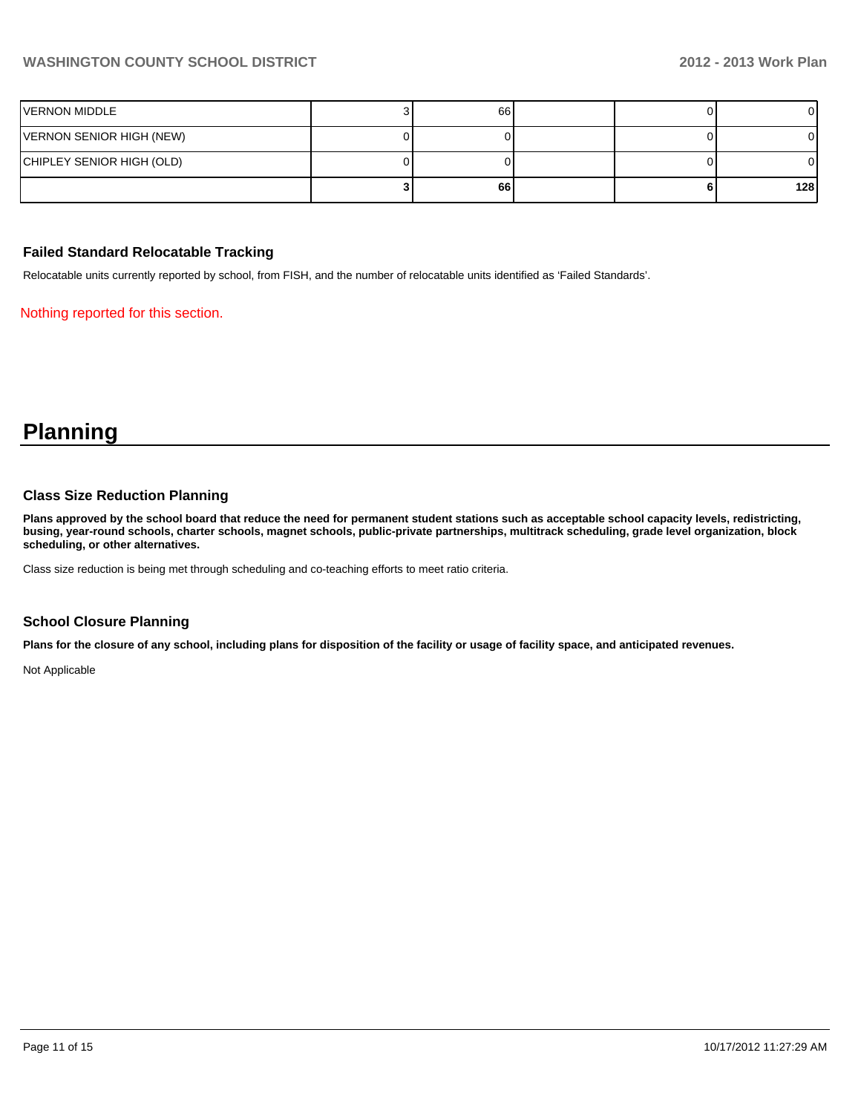# **WASHINGTON COUNTY SCHOOL DISTRICT 2012 - 2013 Work Plan**

| VERNON MIDDLE             | 66 I |  |     |
|---------------------------|------|--|-----|
| VERNON SENIOR HIGH (NEW)  |      |  |     |
| CHIPLEY SENIOR HIGH (OLD) |      |  |     |
|                           | 66   |  | 128 |

#### **Failed Standard Relocatable Tracking**

Relocatable units currently reported by school, from FISH, and the number of relocatable units identified as 'Failed Standards'.

Nothing reported for this section.

# **Planning**

#### **Class Size Reduction Planning**

**Plans approved by the school board that reduce the need for permanent student stations such as acceptable school capacity levels, redistricting, busing, year-round schools, charter schools, magnet schools, public-private partnerships, multitrack scheduling, grade level organization, block scheduling, or other alternatives.**

Class size reduction is being met through scheduling and co-teaching efforts to meet ratio criteria.

#### **School Closure Planning**

**Plans for the closure of any school, including plans for disposition of the facility or usage of facility space, and anticipated revenues.**

Not Applicable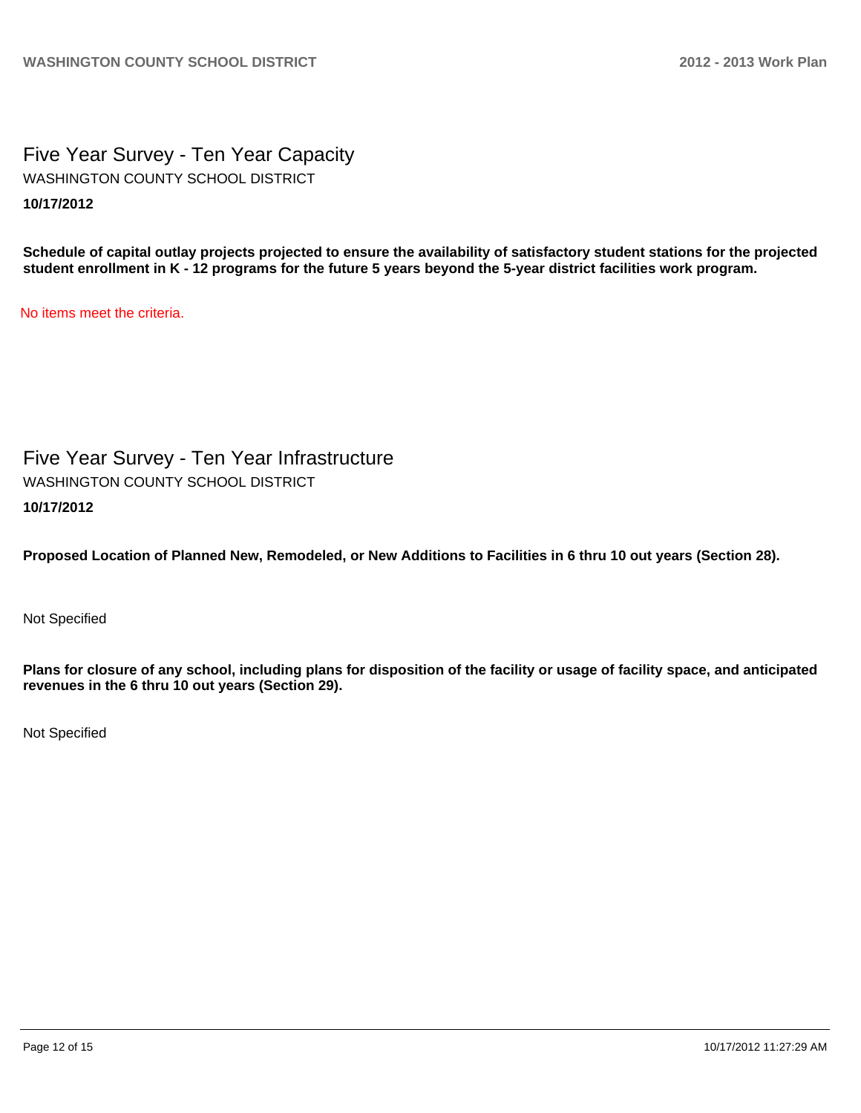Five Year Survey - Ten Year Capacity **10/17/2012** WASHINGTON COUNTY SCHOOL DISTRICT

**Schedule of capital outlay projects projected to ensure the availability of satisfactory student stations for the projected student enrollment in K - 12 programs for the future 5 years beyond the 5-year district facilities work program.**

No items meet the criteria.

Five Year Survey - Ten Year Infrastructure **10/17/2012** WASHINGTON COUNTY SCHOOL DISTRICT

**Proposed Location of Planned New, Remodeled, or New Additions to Facilities in 6 thru 10 out years (Section 28).**

Not Specified

**Plans for closure of any school, including plans for disposition of the facility or usage of facility space, and anticipated revenues in the 6 thru 10 out years (Section 29).**

Not Specified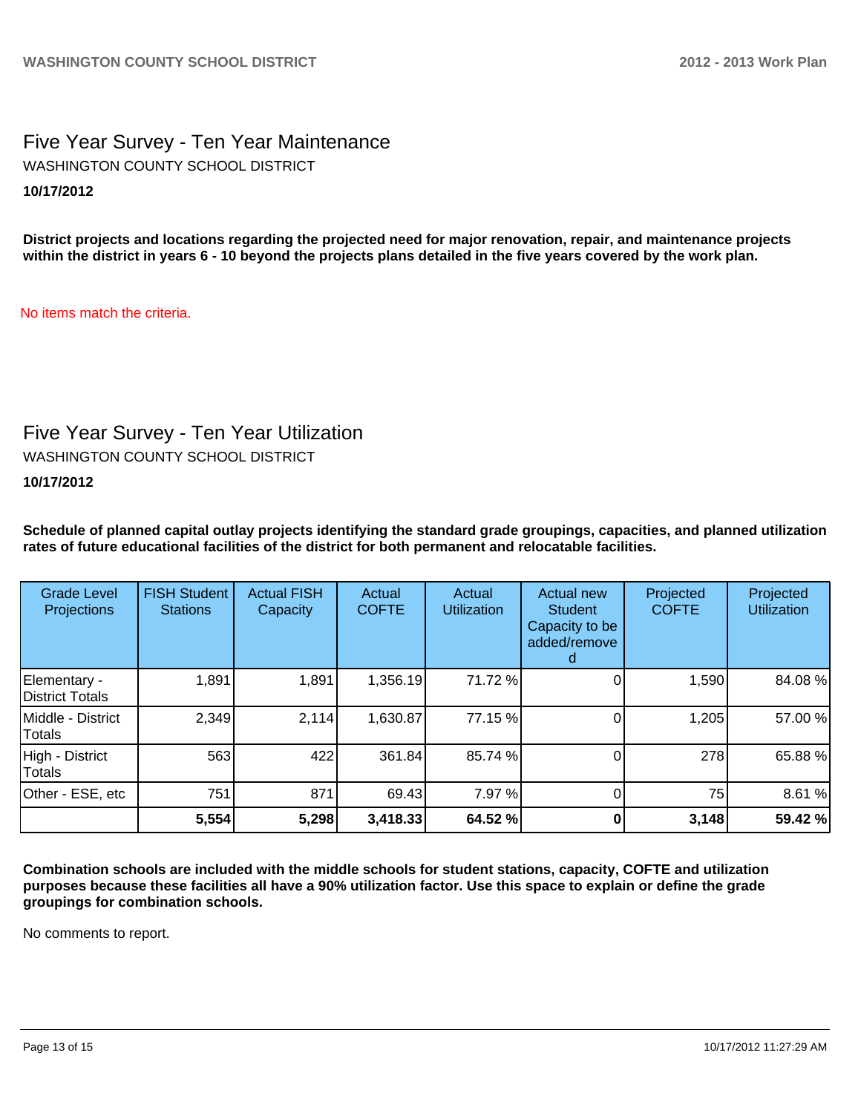# Five Year Survey - Ten Year Maintenance **10/17/2012** WASHINGTON COUNTY SCHOOL DISTRICT

**District projects and locations regarding the projected need for major renovation, repair, and maintenance projects within the district in years 6 - 10 beyond the projects plans detailed in the five years covered by the work plan.**

No items match the criteria.

# Five Year Survey - Ten Year Utilization

WASHINGTON COUNTY SCHOOL DISTRICT

## **10/17/2012**

**Schedule of planned capital outlay projects identifying the standard grade groupings, capacities, and planned utilization rates of future educational facilities of the district for both permanent and relocatable facilities.**

| <b>Grade Level</b><br><b>Projections</b> | <b>FISH Student</b><br><b>Stations</b> | <b>Actual FISH</b><br>Capacity | Actual<br><b>COFTE</b> | Actual<br><b>Utilization</b> | Actual new<br><b>Student</b><br>Capacity to be<br>added/remove | Projected<br><b>COFTE</b> | Projected<br><b>Utilization</b> |
|------------------------------------------|----------------------------------------|--------------------------------|------------------------|------------------------------|----------------------------------------------------------------|---------------------------|---------------------------------|
| Elementary -<br>District Totals          | 1,891                                  | 1,891                          | 1,356.19               | 71.72 %                      |                                                                | 1,590                     | 84.08%                          |
| Middle - District<br>Totals              | 2,349                                  | 2,114                          | 1,630.87               | 77.15 %                      |                                                                | 1,205                     | 57.00 %                         |
| High - District<br>Totals                | 563                                    | 422                            | 361.84                 | 85.74 %                      |                                                                | 278                       | 65.88%                          |
| Other - ESE, etc                         | 751                                    | 871                            | 69.43                  | 7.97 %                       |                                                                | 75                        | 8.61%                           |
|                                          | 5,554                                  | 5,298                          | 3,418.33               | 64.52 %                      |                                                                | 3,148                     | 59.42 %                         |

**Combination schools are included with the middle schools for student stations, capacity, COFTE and utilization purposes because these facilities all have a 90% utilization factor. Use this space to explain or define the grade groupings for combination schools.**

No comments to report.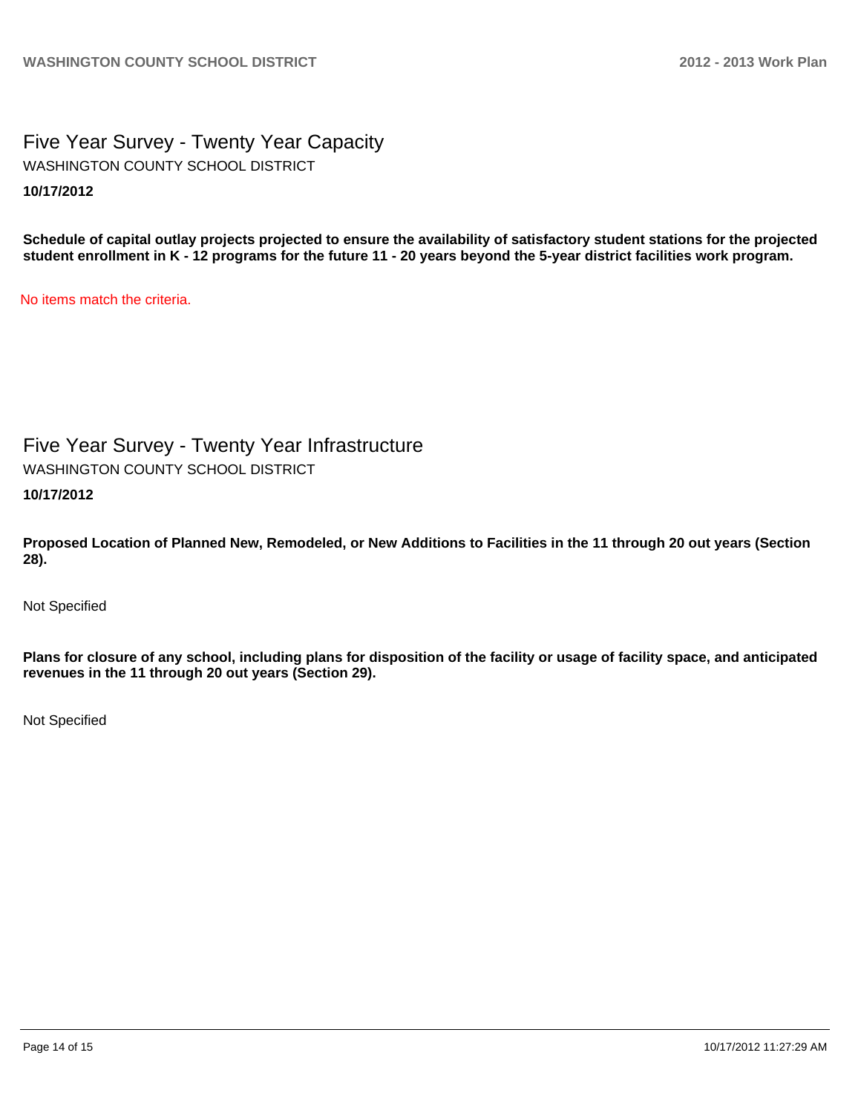Five Year Survey - Twenty Year Capacity **10/17/2012** WASHINGTON COUNTY SCHOOL DISTRICT

**Schedule of capital outlay projects projected to ensure the availability of satisfactory student stations for the projected student enrollment in K - 12 programs for the future 11 - 20 years beyond the 5-year district facilities work program.**

No items match the criteria.

Five Year Survey - Twenty Year Infrastructure

WASHINGTON COUNTY SCHOOL DISTRICT

**10/17/2012**

**Proposed Location of Planned New, Remodeled, or New Additions to Facilities in the 11 through 20 out years (Section 28).**

Not Specified

**Plans for closure of any school, including plans for disposition of the facility or usage of facility space, and anticipated revenues in the 11 through 20 out years (Section 29).**

Not Specified